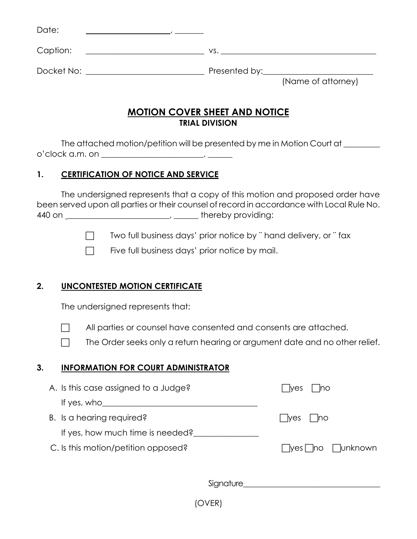| Date:      |                                     |
|------------|-------------------------------------|
| Caption:   | VS.                                 |
| Docket No: | Presented by:<br>(Name of attorney) |

## **MOTION COVER SHEET AND NOTICE TRIAL DIVISION**

The attached motion/petition will be presented by me in Motion Court at \_\_\_\_\_\_\_\_\_ o'clock a.m. on \_\_\_\_\_\_\_\_\_\_\_\_\_\_\_\_\_\_\_\_\_\_\_\_\_, \_\_\_\_\_\_

## **1. CERTIFICATION OF NOTICE AND SERVICE**

The undersigned represents that a copy of this motion and proposed order have been served upon all parties or their counsel of record in accordance with Local Rule No. 440 on \_\_\_\_\_\_\_\_\_\_\_\_\_\_\_\_\_\_\_\_\_\_\_\_\_, \_\_\_\_\_\_ thereby providing:

 $\Box$  Two full business days' prior notice by " hand delivery, or " fax

 $\Box$  Five full business days' prior notice by mail.

## **2. UNCONTESTED MOTION CERTIFICATE**

The undersigned represents that:

 $\Box$  All parties or counsel have consented and consents are attached.

 $\Box$  The Order seeks only a return hearing or argument date and no other relief.

#### **3. INFORMATION FOR COURT ADMINISTRATOR**

| A. Is this case assigned to a Judge? | n<br><b>Nes</b>             |
|--------------------------------------|-----------------------------|
| If yes, $who$                        |                             |
| B. Is a hearing required?            | - Ino<br>l yes              |
| If yes, how much time is needed?     |                             |
| C. Is this motion/petition opposed?  | <b>Tunknown</b><br>yes   no |
|                                      |                             |
| Signature                            |                             |
|                                      |                             |

(OVER)